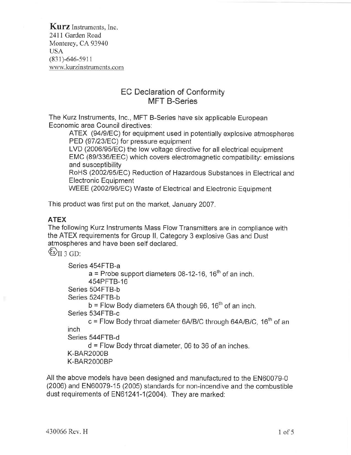Kurz Instruments, Inc. 2411 Garden Road Monterey, CA 93940 USA  $(831) - 646 - 5911$ www.kurzinstruments.com

## EC Declaration of Conformity MFT B-Series

The Kurz lnstruments, lnc., MFT B-Series have six applicable European Economic area Council directives:

ATEX (94/9/EC) for equipment used in potentially explosive atmospheres PED (97/23/EC) for pressure equipment

LVD (2006/95/EC) the low voltage directive for all electrical equipment EMC (89/336/EEC) which covers electromagnetic compatibility: emissions and susceptibility

RoHS (20021951EC) Reduction of Hazardous Substances in Electrical and Electronic Equipment

WEEE (2002/96/EC) Waste of Electrical and Electronic Equipment

This product was first put on the market, January 2007.

#### ATEX

The following Kurz lnstruments Mass Flow Transmitters are in compliance with the ATEX requirements for Group ll, Category 3 explosive Gas and Dust atmospheres and have been self declared.

 $\langle \xi \rangle$  (i) 3 GD:

```
Series 454FTB-a
       a = Probe support diameters 08-12-16, 16<sup>th</sup> of an inch.
       454PFTB-16
Series 504FTB-b
Series 524FTB-b
       b = Flow Body diameters 6A though 96, 16<sup>th</sup> of an inch.
Series 534FTB-c
       c = Flow Body throat diameter 6A/B/C through 64A/B/C, 16<sup>th</sup> of an
inch
Series 544FTB-d
       d = Flow Body throat diameter, 06 to 36 of an inches.
K-BAR2OOOB
K-BAR2OOOBP
```
All the above models have been designed and manufactured to the EN60079-0 (2006) and EN60079-15 (2005) standards for non-incendive and the combustible dust requirements of EN61241-1(2004). They are marked: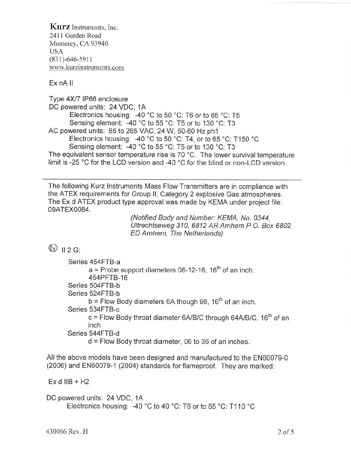Kurz Instruments, Inc. 2411 Garden Road Monterey, CA 93940 USA  $(831) - 646 - 5911$ www. kurzinstruments. com

Ex nA ll

Type 4N7 lP66 enclosure DC powered units: 24 VDC, 1A Electronics housing: -40 °C to 50 °C: T6 or to 65 °C: T5 Sensing element: -40 °C to 55 °C: T5 or to 130 °C: T3 AC powered units: 85 to 265 VAC, 24 W, 50-60 Hz ph1 Electronics housing:  $-40\degree C$  to 50  $\degree C$ : T4, or to 65  $\degree C$ : T150  $\degree C$ Sensing element: -40 °C to 55 °C: T5 or to 130 °C: T3 The equivalent sensor temperature rise is 70 °C. The lower survival temperature limit is -25 "C for the LCD version and -40 "C for the blind or non-LCD version.

The following Kurz lnstruments Mass Flow Transmitters are in compliance with the ATEX requirements for Group ll, Category 2 explosive Gas atmospheres. The Ex d ATEX product type approval was made by KEMA under project file: 0gATEXO084.

(Notified Body and Number: KEMA, No. 0344, Ultrechtseweg 310, 6812 AR Arnhem P.O. Box 6802 ED Arnhem, The Netherlands)

# $\langle \xi_x \rangle$  11 2 G.

| Series 454FTB-a                                                                |
|--------------------------------------------------------------------------------|
| $a$ = Probe support diameters 08-12-16, 16 <sup>th</sup> of an inch.           |
| 454PFTB-16                                                                     |
| Series 504FTB-b                                                                |
| Series 524FTB-b                                                                |
| $b =$ Flow Body diameters 6A though 96, 16 <sup>th</sup> of an inch.           |
| Series 534FTB-c                                                                |
| $c =$ Flow Body throat diameter 6A/B/C through 64A/B/C, 16 <sup>th</sup> of an |
| inch                                                                           |
| Series 544FTB-d                                                                |
| $d$ = Flow Body throat diameter, 06 to 36 of an inches.                        |

All the above models have been designed and manufactured to the EN60079-0 (2006) and EN60079-1 (2004) standards for flameproof. They are marked:

Ex d IIB +  $H2$ 

DC powered units: 24 VDC, 1A Electronics housing: -40 °C to 40 °C: T6 or to 65 °C: T110 °C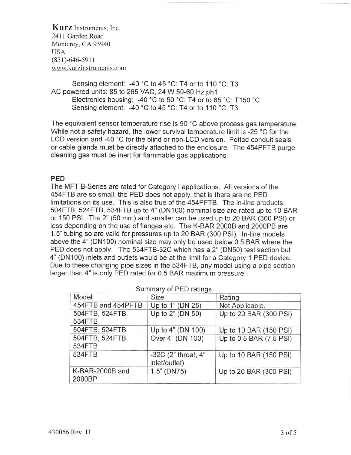Kurz Instruments, Inc. 24ll Garden Road Monterey, CA 93940 USA  $(831) - 646 - 5911$ www. kurzinstruments. com

Sensing element: -40 °C to 45 °C: T4 or to 110 °C: T3 AC powered units: 85 to 265 VAC, 24W 50-60 Hz phl Electronics housing: -40 °C to 50 °C: T4 or to 65 °C: T150 °C Sensing element: -40 °C to 45 °C: T4 or to 110 °C: T3

The equivalent sensor temperature rise is 90 'C above process gas temperature. While not a safety hazard, the lower survival temperature limit is -25 °C for the LCD version and -40 °C for the blind or non-LCD version. Potted conduit seals or cable glands must be directly attached to the enclosure. The 454PFTB purge cleaning gas must be inert for flammable gas applications.

#### PED

The MFT B-Series are rated for Category I applications. All versions of the 454FTB are so small, the PED does not apply, that is there are no PED limitations on its use. This is also true of the 454PFTB. The in-line products: 504FTB, 524FTB,534FTB up to 4'(DN100) nominal size are rated up to 10 BAR or 150 PSl. The 2" (50 mm) and smaller can be used up to 20 BAR (300 PSI) or less depending on the use of flanges etc. The K-BAR 20008 and 2000P8 are 1.5" tubing so are valid for pressures up to 20 BAR (300 PSI). ln-line models above the 4" (DN100) nominal size may only be used below 0.5 BAR where the PED does not apply. The 534FTB-32C which has a 2" (DN50) test section but 4'(DN100) inlets and outlets would be at the limit for a Category 1 PED device. Due to these changing pipe sizes in the 534FTB, any model using a pipe section larger than 4" is only PED rated for 0.5 BAR maximum pressure.

|                           | Summary of PED ratings               |                         |
|---------------------------|--------------------------------------|-------------------------|
| Model                     | <b>Size</b>                          | Rating                  |
| 454FTB and 454PFTB        | Up to 1" (DN 25)                     | Not Applicable.         |
| 504FTB, 524FTB,<br>534FTB | Up to 2" (DN 50)                     | Up to 20 BAR (300 PSI)  |
| 504FTB, 524FTB            | Up to 4" (DN 100)                    | Up to 10 BAR (150 PSI)  |
| 504FTB, 524FTB,<br>534FTB | Over 4" (DN 100)                     | Up to 0.5 BAR (7.5 PSI) |
| <b>534FTB</b>             | -32C (2" throat, 4"<br>inlet/outlet) | Up to 10 BAR (150 PSI)  |
| K-BAR-2000B and<br>2000BP | $1.5"$ (DN75)                        | Up to 20 BAR (300 PSI)  |

Cumman of DED ratings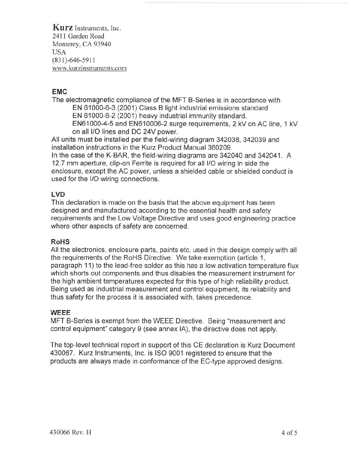Kurz Instruments, Inc. 2411 Garden Road Monterey, CA 93940 USA (831)-646-5911 www.kurzinstruments. com

#### EMC

The electromagnetic compliance of the MFT B-Series is in accordance with EN 61000-6-3 (2001) Class B light industrial emissions standard EN 61000-6-2 (2001) heavy industrial immunity standard. EN61000-4-5 and EN610006-2 surge requirements, 2 kV on AC line, 1 kV on all l/O lines and DC 24Y power.

All units must be installed per the field-wiring diagram 342038, 342039 and installation instructions in the Kurz Product Manual 360209.

ln the case of the K-BAR, the field-wiring diagrams are 342040 and 342041. A 12.7 mm aperture, clip-on Ferrite is required for all l/O wiring in side the enclosure, except the AC power, unless a shielded cable or shielded conduct is used for the l/O wiring connections.

### LVD

This declaration is made on the basis that the above equipment has been designed and manufactured according to the essential health and safety requirements and the Low Voltage Directive and uses good engineering practice where other aspects of safety are concerned.

#### RoHS

All the electronics, enclosure parts, paints etc. used in this design comply with all the requirements of the RoHS Directive. We take exemption (article 1, paragraph 11) to the lead-free solder as this has a low activation temperature flux which shorts out components and thus disables the measurement instrument for the high ambient temperatures expected for this type of high reliability product. Being used as industrial measurement and control equipment, its reliability and thus safety for the process it is associated with, takes precedence.

#### WEEE

MFT B-Series is exempt from the WEEE Directive. Being "measurement and control equipment" category 9 (see annex lA), the directive does not apply.

The top-level technical report in support of this CE declaration is Kurz Document 430067. Kurz lnstruments, lnc. is ISO 9001 registered to ensure that the products are always made in conformance of the EC-type approved designs.